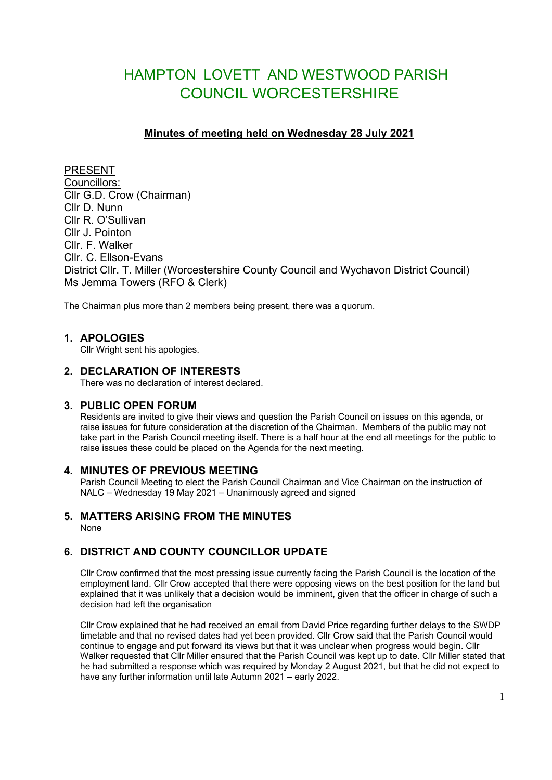# HAMPTON LOVETT AND WESTWOOD PARISH COUNCIL WORCESTERSHIRE

# **Minutes of meeting held on Wednesday 28 July 2021**

PRESENT Councillors: Cllr G.D. Crow (Chairman) Cllr D. Nunn Cllr R. O'Sullivan Cllr J. Pointon Cllr. F. Walker Cllr. C. Ellson-Evans District Cllr. T. Miller (Worcestershire County Council and Wychavon District Council) Ms Jemma Towers (RFO & Clerk)

The Chairman plus more than 2 members being present, there was a quorum.

# **1. APOLOGIES**

Cllr Wright sent his apologies.

# **2. DECLARATION OF INTERESTS**

There was no declaration of interest declared.

# **3. PUBLIC OPEN FORUM**

Residents are invited to give their views and question the Parish Council on issues on this agenda, or raise issues for future consideration at the discretion of the Chairman. Members of the public may not take part in the Parish Council meeting itself. There is a half hour at the end all meetings for the public to raise issues these could be placed on the Agenda for the next meeting.

# **4. MINUTES OF PREVIOUS MEETING**

Parish Council Meeting to elect the Parish Council Chairman and Vice Chairman on the instruction of NALC – Wednesday 19 May 2021 – Unanimously agreed and signed

#### **5. MATTERS ARISING FROM THE MINUTES** None

# **6. DISTRICT AND COUNTY COUNCILLOR UPDATE**

Cllr Crow confirmed that the most pressing issue currently facing the Parish Council is the location of the employment land. Cllr Crow accepted that there were opposing views on the best position for the land but explained that it was unlikely that a decision would be imminent, given that the officer in charge of such a decision had left the organisation

Cllr Crow explained that he had received an email from David Price regarding further delays to the SWDP timetable and that no revised dates had yet been provided. Cllr Crow said that the Parish Council would continue to engage and put forward its views but that it was unclear when progress would begin. Cllr Walker requested that Cllr Miller ensured that the Parish Council was kept up to date. Cllr Miller stated that he had submitted a response which was required by Monday 2 August 2021, but that he did not expect to have any further information until late Autumn 2021 – early 2022.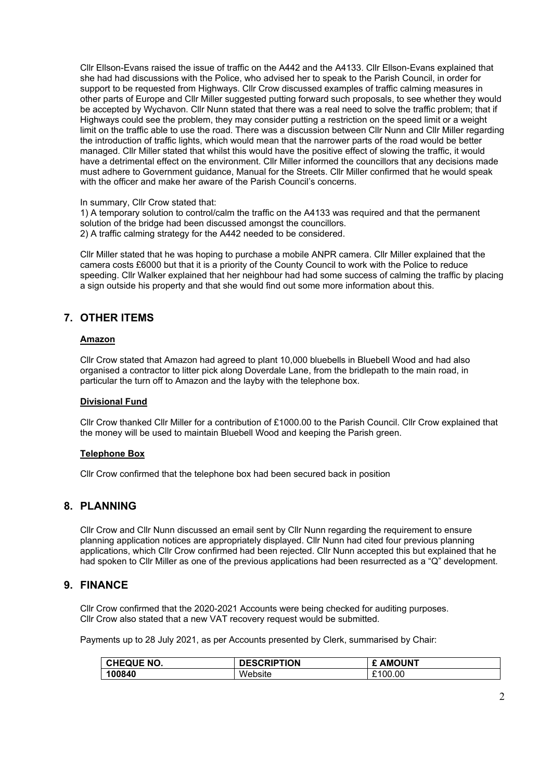Cllr Ellson-Evans raised the issue of traffic on the A442 and the A4133. Cllr Ellson-Evans explained that she had had discussions with the Police, who advised her to speak to the Parish Council, in order for support to be requested from Highways. Cllr Crow discussed examples of traffic calming measures in other parts of Europe and Cllr Miller suggested putting forward such proposals, to see whether they would be accepted by Wychavon. Cllr Nunn stated that there was a real need to solve the traffic problem; that if Highways could see the problem, they may consider putting a restriction on the speed limit or a weight limit on the traffic able to use the road. There was a discussion between Cllr Nunn and Cllr Miller regarding the introduction of traffic lights, which would mean that the narrower parts of the road would be better managed. Cllr Miller stated that whilst this would have the positive effect of slowing the traffic, it would have a detrimental effect on the environment. Cllr Miller informed the councillors that any decisions made must adhere to Government guidance, Manual for the Streets. Cllr Miller confirmed that he would speak with the officer and make her aware of the Parish Council's concerns.

#### In summary, Cllr Crow stated that:

1) A temporary solution to control/calm the traffic on the A4133 was required and that the permanent solution of the bridge had been discussed amongst the councillors. 2) A traffic calming strategy for the A442 needed to be considered.

Cllr Miller stated that he was hoping to purchase a mobile ANPR camera. Cllr Miller explained that the camera costs £6000 but that it is a priority of the County Council to work with the Police to reduce speeding. Cllr Walker explained that her neighbour had had some success of calming the traffic by placing a sign outside his property and that she would find out some more information about this.

# **7. OTHER ITEMS**

#### **Amazon**

Cllr Crow stated that Amazon had agreed to plant 10,000 bluebells in Bluebell Wood and had also organised a contractor to litter pick along Doverdale Lane, from the bridlepath to the main road, in particular the turn off to Amazon and the layby with the telephone box.

#### **Divisional Fund**

Cllr Crow thanked Cllr Miller for a contribution of £1000.00 to the Parish Council. Cllr Crow explained that the money will be used to maintain Bluebell Wood and keeping the Parish green.

#### **Telephone Box**

Cllr Crow confirmed that the telephone box had been secured back in position

# **8. PLANNING**

Cllr Crow and Cllr Nunn discussed an email sent by Cllr Nunn regarding the requirement to ensure planning application notices are appropriately displayed. Cllr Nunn had cited four previous planning applications, which Cllr Crow confirmed had been rejected. Cllr Nunn accepted this but explained that he had spoken to Cllr Miller as one of the previous applications had been resurrected as a "Q" development.

# **9. FINANCE**

Cllr Crow confirmed that the 2020-2021 Accounts were being checked for auditing purposes. Cllr Crow also stated that a new VAT recovery request would be submitted.

Payments up to 28 July 2021, as per Accounts presented by Clerk, summarised by Chair:

| <b>CHEQUE NO.</b> | <b>DESCRIPTION</b> | £ AMOUNT |
|-------------------|--------------------|----------|
| 100840            | Website            | £100.00  |